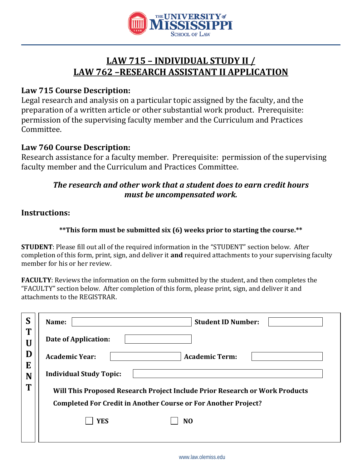

# **LAW 715 – INDIVIDUAL STUDY II / LAW 762 –RESEARCH ASSISTANT II APPLICATION**

# **Law 715 Course Description:**

Legal research and analysis on a particular topic assigned by the faculty, and the preparation of a written article or other substantial work product. Prerequisite: permission of the supervising faculty member and the Curriculum and Practices Committee.

### **Law 760 Course Description:**

Research assistance for a faculty member. Prerequisite: permission of the supervising faculty member and the Curriculum and Practices Committee.

# *The research and other work that a student does to earn credit hours must be uncompensated work.*

### **Instructions:**

#### **\*\*This form must be submitted six (6) weeks prior to starting the course.\*\***

**STUDENT**: Please fill out all of the required information in the "STUDENT" section below. After completion of this form, print, sign, and deliver it **and** required attachments to your supervising faculty member for his or her review.

**FACULTY**: Reviews the information on the form submitted by the student, and then completes the "FACULTY" section below. After completion of this form, please print, sign, and deliver it and attachments to the REGISTRAR.

| S      | <b>Student ID Number:</b><br>Name:                                          |
|--------|-----------------------------------------------------------------------------|
| T<br>U | Date of Application:                                                        |
| D      | <b>Academic Year:</b><br><b>Academic Term:</b>                              |
| E<br>N | <b>Individual Study Topic:</b>                                              |
| T      | Will This Proposed Research Project Include Prior Research or Work Products |
|        | <b>Completed For Credit in Another Course or For Another Project?</b>       |
|        | <b>YES</b><br>N <sub>O</sub>                                                |
|        |                                                                             |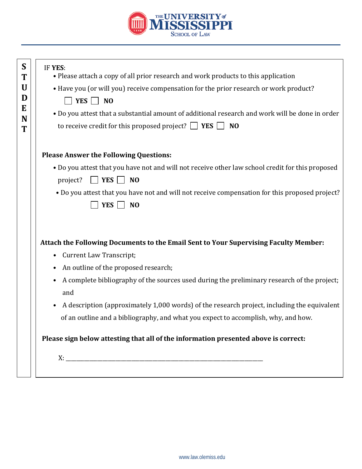

| IF YES:<br>• Please attach a copy of all prior research and work products to this application      |
|----------------------------------------------------------------------------------------------------|
| • Have you (or will you) receive compensation for the prior research or work product?              |
| YES $\Box$ NO                                                                                      |
| . Do you attest that a substantial amount of additional research and work will be done in order    |
| to receive credit for this proposed project? $\Box$ <b>YES</b> $\Box$<br>N <sub>O</sub>            |
| <b>Please Answer the Following Questions:</b>                                                      |
| . Do you attest that you have not and will not receive other law school credit for this proposed   |
| $\blacksquare$ YES $\blacksquare$<br>$\overline{\phantom{0}}$ NO<br>project?                       |
| . Do you attest that you have not and will not receive compensation for this proposed project?     |
| YES  <br>$\overline{\phantom{0}}$ NO                                                               |
|                                                                                                    |
| Attach the Following Documents to the Email Sent to Your Supervising Faculty Member:               |
| <b>Current Law Transcript;</b>                                                                     |
|                                                                                                    |
| An outline of the proposed research;                                                               |
|                                                                                                    |
| A complete bibliography of the sources used during the preliminary research of the project;<br>and |
| A description (approximately 1,000 words) of the research project, including the equivalent        |
| of an outline and a bibliography, and what you expect to accomplish, why, and how.                 |
| Please sign below attesting that all of the information presented above is correct:                |
|                                                                                                    |